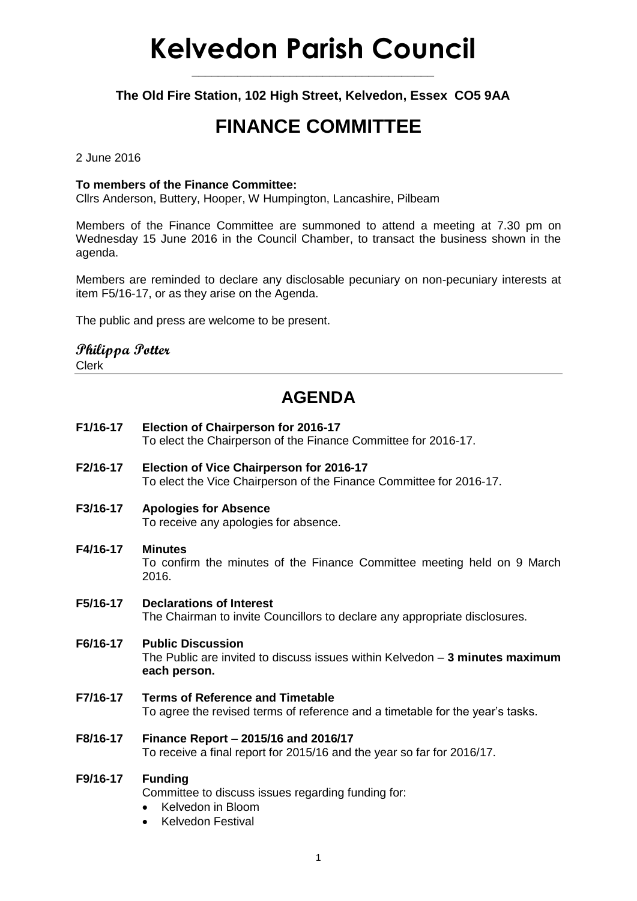# **Kelvedon Parish Council**

**\_\_\_\_\_\_\_\_\_\_\_\_\_\_\_\_\_\_\_\_\_\_\_\_\_\_\_\_\_\_\_\_\_\_\_\_\_**

**The Old Fire Station, 102 High Street, Kelvedon, Essex CO5 9AA**

## **FINANCE COMMITTEE**

2 June 2016

#### **To members of the Finance Committee:**

Cllrs Anderson, Buttery, Hooper, W Humpington, Lancashire, Pilbeam

Members of the Finance Committee are summoned to attend a meeting at 7.30 pm on Wednesday 15 June 2016 in the Council Chamber, to transact the business shown in the agenda.

Members are reminded to declare any disclosable pecuniary on non-pecuniary interests at item F5/16-17, or as they arise on the Agenda.

The public and press are welcome to be present.

### **Philippa Potter**

Clerk

### **AGENDA**

- **F1/16-17 Election of Chairperson for 2016-17** To elect the Chairperson of the Finance Committee for 2016-17.
- **F2/16-17 Election of Vice Chairperson for 2016-17** To elect the Vice Chairperson of the Finance Committee for 2016-17.

#### **F3/16-17 Apologies for Absence** To receive any apologies for absence.

- **F4/16-17 Minutes** To confirm the minutes of the Finance Committee meeting held on 9 March 2016.
- **F5/16-17 Declarations of Interest** The Chairman to invite Councillors to declare any appropriate disclosures.

#### **F6/16-17 Public Discussion** The Public are invited to discuss issues within Kelvedon – **3 minutes maximum each person.**

- **F7/16-17 Terms of Reference and Timetable** To agree the revised terms of reference and a timetable for the year's tasks.
- **F8/16-17 Finance Report – 2015/16 and 2016/17** To receive a final report for 2015/16 and the year so far for 2016/17.

#### **F9/16-17 Funding**

Committee to discuss issues regarding funding for:

- Kelvedon in Bloom
- Kelvedon Festival